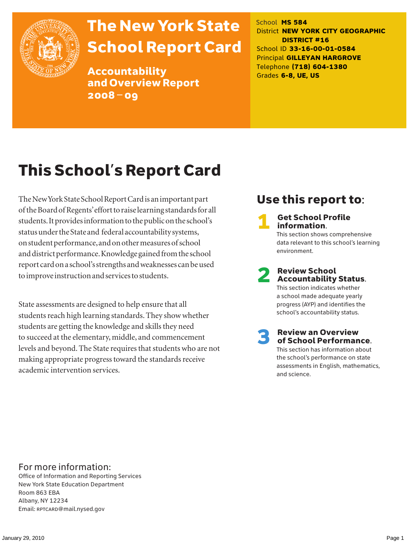

# The New York State School Report Card

Accountability and Overview Report 2008–09

School **MS 584** District **NEW YORK CITY GEOGRAPHIC DISTRICT #16** School ID **33-16-00-01-0584** Principal **GILLEYAN HARGROVE** Telephone **(718) 604-1380** Grades **6-8, UE, US**

# This School's Report Card

The New York State School Report Card is an important part of the Board of Regents' effort to raise learning standards for all students. It provides information to the public on the school's status under the State and federal accountability systems, on student performance, and on other measures of school and district performance. Knowledge gained from the school report card on a school's strengths and weaknesses can be used to improve instruction and services to students.

State assessments are designed to help ensure that all students reach high learning standards. They show whether students are getting the knowledge and skills they need to succeed at the elementary, middle, and commencement levels and beyond. The State requires that students who are not making appropriate progress toward the standards receive academic intervention services.

# Use this report to:

**Get School Profile** information. This section shows comprehensive data relevant to this school's learning environment.

2 Review School Accountability Status.

This section indicates whether a school made adequate yearly progress (AYP) and identifies the school's accountability status.

3 Review an Overview of School Performance. This section has information about the school's performance on state assessments in English, mathematics,

and science.

For more information:

Office of Information and Reporting Services New York State Education Department Room 863 EBA Albany, NY 12234 Email: RPTCARD@mail.nysed.gov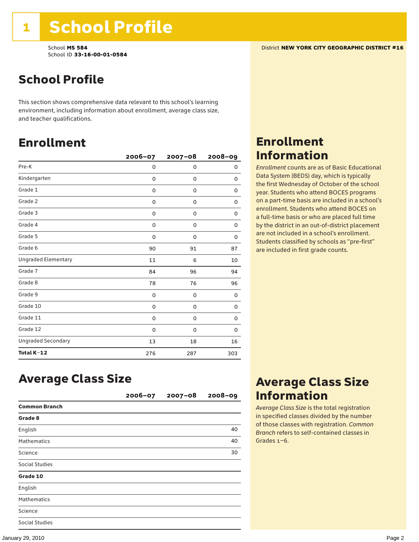# School Profile

This section shows comprehensive data relevant to this school's learning environment, including information about enrollment, average class size, and teacher qualifications.

### Enrollment

|                            | 2006-07 | $2007 - 08$ | 2008-09 |
|----------------------------|---------|-------------|---------|
| Pre-K                      | 0       | 0           | 0       |
| Kindergarten               | 0       | 0           | 0       |
| Grade 1                    | 0       | 0           | 0       |
| Grade 2                    | 0       | 0           | 0       |
| Grade 3                    | 0       | 0           | 0       |
| Grade 4                    | 0       | 0           | 0       |
| Grade 5                    | 0       | $\mathbf 0$ | 0       |
| Grade 6                    | 90      | 91          | 87      |
| <b>Ungraded Elementary</b> | 11      | 6           | 10      |
| Grade 7                    | 84      | 96          | 94      |
| Grade 8                    | 78      | 76          | 96      |
| Grade 9                    | 0       | 0           | 0       |
| Grade 10                   | 0       | 0           | 0       |
| Grade 11                   | 0       | 0           | 0       |
| Grade 12                   | 0       | 0           | 0       |
| <b>Ungraded Secondary</b>  | 13      | 18          | 16      |
| Total K-12                 | 276     | 287         | 303     |

### Enrollment Information

*Enrollment* counts are as of Basic Educational Data System (BEDS) day, which is typically the first Wednesday of October of the school year. Students who attend BOCES programs on a part-time basis are included in a school's enrollment. Students who attend BOCES on a full-time basis or who are placed full time by the district in an out-of-district placement are not included in a school's enrollment. Students classified by schools as "pre-first" are included in first grade counts.

### Average Class Size

|                       | $2006 - 07$ | $2007 - 08$ | $2008 - 09$ |
|-----------------------|-------------|-------------|-------------|
| <b>Common Branch</b>  |             |             |             |
| Grade 8               |             |             |             |
| English               |             |             | 40          |
| <b>Mathematics</b>    |             |             | 40          |
| Science               |             |             | 30          |
| Social Studies        |             |             |             |
| Grade 10              |             |             |             |
| English               |             |             |             |
| <b>Mathematics</b>    |             |             |             |
| Science               |             |             |             |
| <b>Social Studies</b> |             |             |             |

### Average Class Size Information

*Average Class Size* is the total registration in specified classes divided by the number of those classes with registration. *Common Branch* refers to self-contained classes in Grades 1–6.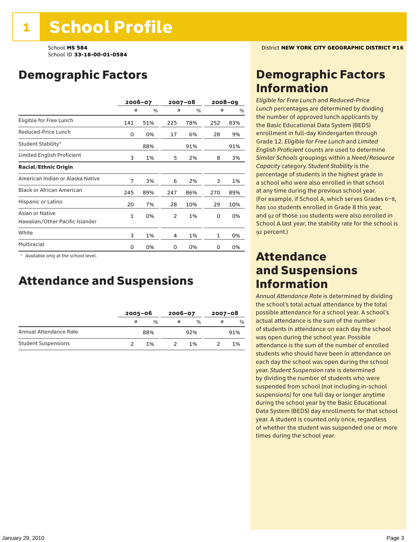# Demographic Factors

|                                                    |     | 2006-07 |     | $2007 - 08$ |     | $2008 - 09$ |
|----------------------------------------------------|-----|---------|-----|-------------|-----|-------------|
|                                                    | #   | %       | #   | %           | #   | %           |
| Eligible for Free Lunch                            | 141 | 51%     | 225 | 78%         | 252 | 83%         |
| Reduced-Price Lunch                                | 0   | 0%      | 17  | 6%          | 28  | 9%          |
| Student Stability*                                 |     | 88%     |     | 91%         |     | 91%         |
| Limited English Proficient                         | 3   | 1%      | 5   | 2%          | 8   | 3%          |
| <b>Racial/Ethnic Origin</b>                        |     |         |     |             |     |             |
| American Indian or Alaska Native                   | 7   | 3%      | 6   | 2%          | 3   | 1%          |
| <b>Black or African American</b>                   | 245 | 89%     | 247 | 86%         | 270 | 89%         |
| Hispanic or Latino                                 | 20  | 7%      | 28  | 10%         | 29  | 10%         |
| Asian or Native<br>Hawaiian/Other Pacific Islander | 1   | 0%      | 2   | 1%          | 0   | 0%          |
| White                                              | 3   | 1%      | 4   | 1%          | 1   | 0%          |
| Multiracial                                        | 0   | 0%      | 0   | 0%          | 0   | 0%          |

\* Available only at the school level.

### Attendance and Suspensions

|                            |   | $2005 - 06$   |   | $2006 - 07$   |   | $2007 - 08$ |  |
|----------------------------|---|---------------|---|---------------|---|-------------|--|
|                            | # | $\frac{0}{0}$ | # | $\frac{0}{0}$ | # | %           |  |
| Annual Attendance Rate     |   | 88%           |   | 92%           |   | 91%         |  |
| <b>Student Suspensions</b> |   | 1%            |   | 1%            |   | 1%          |  |

# Demographic Factors Information

*Eligible for Free Lunch* and *Reduced*-*Price Lunch* percentages are determined by dividing the number of approved lunch applicants by the Basic Educational Data System (BEDS) enrollment in full-day Kindergarten through Grade 12. *Eligible for Free Lunch* and *Limited English Proficient* counts are used to determine *Similar Schools* groupings within a *Need*/*Resource Capacity* category. *Student Stability* is the percentage of students in the highest grade in a school who were also enrolled in that school at any time during the previous school year. (For example, if School A, which serves Grades 6–8, has 100 students enrolled in Grade 8 this year, and 92 of those 100 students were also enrolled in School A last year, the stability rate for the school is 92 percent.)

### Attendance and Suspensions Information

*Annual Attendance Rate* is determined by dividing the school's total actual attendance by the total possible attendance for a school year. A school's actual attendance is the sum of the number of students in attendance on each day the school was open during the school year. Possible attendance is the sum of the number of enrolled students who should have been in attendance on each day the school was open during the school year. *Student Suspension* rate is determined by dividing the number of students who were suspended from school (not including in-school suspensions) for one full day or longer anytime during the school year by the Basic Educational Data System (BEDS) day enrollments for that school year. A student is counted only once, regardless of whether the student was suspended one or more times during the school year.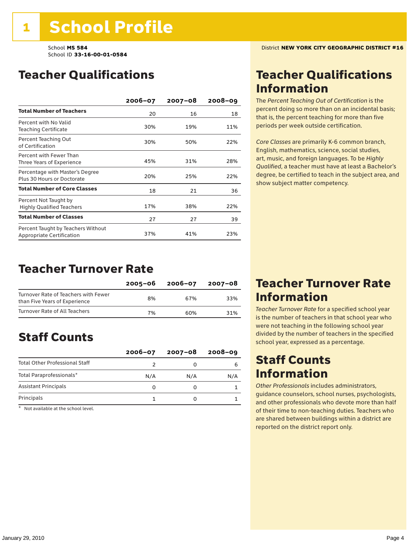# Teacher Qualifications

|                                                                 | $2006 - 07$ | 2007-08 | $2008 - 09$ |
|-----------------------------------------------------------------|-------------|---------|-------------|
| <b>Total Number of Teachers</b>                                 | 20          | 16      | 18          |
| Percent with No Valid<br>Teaching Certificate                   | 30%         | 19%     | 11%         |
| Percent Teaching Out<br>of Certification                        | 30%         | 50%     | 22%         |
| Percent with Fewer Than<br>Three Years of Experience            | 45%         | 31%     | 28%         |
| Percentage with Master's Degree<br>Plus 30 Hours or Doctorate   | 20%         | 25%     | 22%         |
| <b>Total Number of Core Classes</b>                             | 18          | 21      | 36          |
| Percent Not Taught by<br><b>Highly Qualified Teachers</b>       | 17%         | 38%     | 22%         |
| <b>Total Number of Classes</b>                                  | 27          | 27      | 39          |
| Percent Taught by Teachers Without<br>Appropriate Certification | 37%         | 41%     | 23%         |

### Teacher Turnover Rate

|                                                                       | 2005-06 | 2006-07 | 2007-08 |
|-----------------------------------------------------------------------|---------|---------|---------|
| Turnover Rate of Teachers with Fewer<br>than Five Years of Experience | 8%      | 67%     | 33%     |
| Turnover Rate of All Teachers                                         | 7%      | 60%     | 31%     |

# Staff Counts

|                                       | $2006 - 07$ | $2007 - 08$ | $2008 - 09$ |
|---------------------------------------|-------------|-------------|-------------|
| <b>Total Other Professional Staff</b> |             |             |             |
| Total Paraprofessionals*              | N/A         | N/A         | N/A         |
| <b>Assistant Principals</b>           |             |             |             |
| Principals                            |             |             |             |

\* Not available at the school level.

# Teacher Qualifications Information

The *Percent Teaching Out of Certification* is the percent doing so more than on an incidental basis; that is, the percent teaching for more than five periods per week outside certification.

*Core Classes* are primarily K-6 common branch, English, mathematics, science, social studies, art, music, and foreign languages. To be *Highly Qualified*, a teacher must have at least a Bachelor's degree, be certified to teach in the subject area, and show subject matter competency.

### Teacher Turnover Rate Information

*Teacher Turnover Rate* for a specified school year is the number of teachers in that school year who were not teaching in the following school year divided by the number of teachers in the specified school year, expressed as a percentage.

### Staff Counts Information

*Other Professionals* includes administrators, guidance counselors, school nurses, psychologists, and other professionals who devote more than half of their time to non-teaching duties. Teachers who are shared between buildings within a district are reported on the district report only.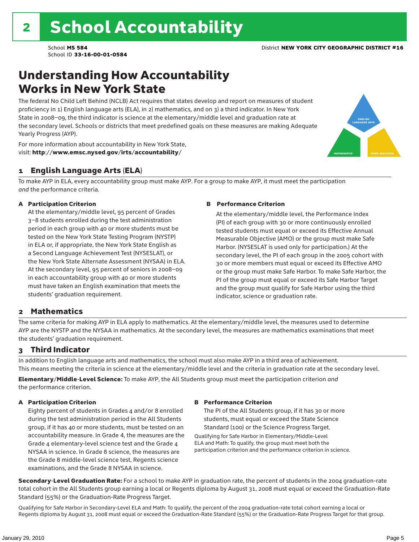# Understanding How Accountability Works in New York State

The federal No Child Left Behind (NCLB) Act requires that states develop and report on measures of student proficiency in 1) English language arts (ELA), in 2) mathematics, and on 3) a third indicator. In New York State in 2008–09, the third indicator is science at the elementary/middle level and graduation rate at the secondary level. Schools or districts that meet predefined goals on these measures are making Adequate Yearly Progress (AYP).



For more information about accountability in New York State, visit: http://www.emsc.nysed.gov/irts/accountability/

#### 1 English Language Arts (ELA)

To make AYP in ELA, every accountability group must make AYP. For a group to make AYP, it must meet the participation *and* the performance criteria.

#### A Participation Criterion

At the elementary/middle level, 95 percent of Grades 3–8 students enrolled during the test administration period in each group with 40 or more students must be tested on the New York State Testing Program (NYSTP) in ELA or, if appropriate, the New York State English as a Second Language Achievement Test (NYSESLAT), or the New York State Alternate Assessment (NYSAA) in ELA. At the secondary level, 95 percent of seniors in 2008–09 in each accountability group with 40 or more students must have taken an English examination that meets the students' graduation requirement.

#### B Performance Criterion

At the elementary/middle level, the Performance Index (PI) of each group with 30 or more continuously enrolled tested students must equal or exceed its Effective Annual Measurable Objective (AMO) or the group must make Safe Harbor. (NYSESLAT is used only for participation.) At the secondary level, the PI of each group in the 2005 cohort with 30 or more members must equal or exceed its Effective AMO or the group must make Safe Harbor. To make Safe Harbor, the PI of the group must equal or exceed its Safe Harbor Target and the group must qualify for Safe Harbor using the third indicator, science or graduation rate.

#### 2 Mathematics

The same criteria for making AYP in ELA apply to mathematics. At the elementary/middle level, the measures used to determine AYP are the NYSTP and the NYSAA in mathematics. At the secondary level, the measures are mathematics examinations that meet the students' graduation requirement.

#### 3 Third Indicator

In addition to English language arts and mathematics, the school must also make AYP in a third area of achievement. This means meeting the criteria in science at the elementary/middle level and the criteria in graduation rate at the secondary level.

Elementary/Middle-Level Science: To make AYP, the All Students group must meet the participation criterion *and* the performance criterion.

#### A Participation Criterion

Eighty percent of students in Grades 4 and/or 8 enrolled during the test administration period in the All Students group, if it has 40 or more students, must be tested on an accountability measure. In Grade 4, the measures are the Grade 4 elementary-level science test and the Grade 4 NYSAA in science. In Grade 8 science, the measures are the Grade 8 middle-level science test, Regents science examinations, and the Grade 8 NYSAA in science.

#### B Performance Criterion

The PI of the All Students group, if it has 30 or more students, must equal or exceed the State Science Standard (100) or the Science Progress Target.

Qualifying for Safe Harbor in Elementary/Middle-Level ELA and Math: To qualify, the group must meet both the participation criterion and the performance criterion in science.

Secondary-Level Graduation Rate: For a school to make AYP in graduation rate, the percent of students in the 2004 graduation-rate total cohort in the All Students group earning a local or Regents diploma by August 31, 2008 must equal or exceed the Graduation-Rate Standard (55%) or the Graduation-Rate Progress Target.

Qualifying for Safe Harbor in Secondary-Level ELA and Math: To qualify, the percent of the 2004 graduation-rate total cohort earning a local or Regents diploma by August 31, 2008 must equal or exceed the Graduation-Rate Standard (55%) or the Graduation-Rate Progress Target for that group.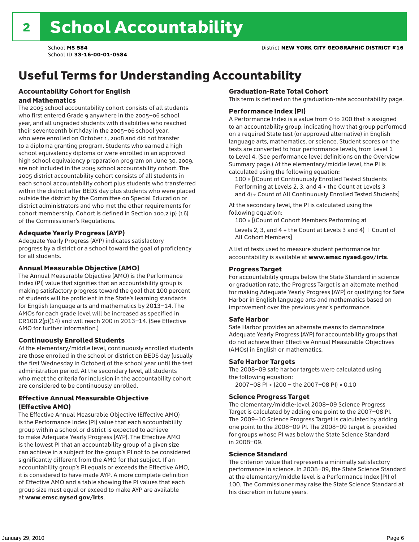# Useful Terms for Understanding Accountability

#### Accountability Cohort for English and Mathematics

The 2005 school accountability cohort consists of all students who first entered Grade 9 anywhere in the 2005–06 school year, and all ungraded students with disabilities who reached their seventeenth birthday in the 2005–06 school year, who were enrolled on October 1, 2008 and did not transfer to a diploma granting program. Students who earned a high school equivalency diploma or were enrolled in an approved high school equivalency preparation program on June 30, 2009, are not included in the 2005 school accountability cohort. The 2005 district accountability cohort consists of all students in each school accountability cohort plus students who transferred within the district after BEDS day plus students who were placed outside the district by the Committee on Special Education or district administrators and who met the other requirements for cohort membership. Cohort is defined in Section 100.2 (p) (16) of the Commissioner's Regulations.

#### Adequate Yearly Progress (AYP)

Adequate Yearly Progress (AYP) indicates satisfactory progress by a district or a school toward the goal of proficiency for all students.

#### Annual Measurable Objective (AMO)

The Annual Measurable Objective (AMO) is the Performance Index (PI) value that signifies that an accountability group is making satisfactory progress toward the goal that 100 percent of students will be proficient in the State's learning standards for English language arts and mathematics by 2013–14. The AMOs for each grade level will be increased as specified in CR100.2(p)(14) and will reach 200 in 2013–14. (See Effective AMO for further information.)

#### Continuously Enrolled Students

At the elementary/middle level, continuously enrolled students are those enrolled in the school or district on BEDS day (usually the first Wednesday in October) of the school year until the test administration period. At the secondary level, all students who meet the criteria for inclusion in the accountability cohort are considered to be continuously enrolled.

#### Effective Annual Measurable Objective (Effective AMO)

The Effective Annual Measurable Objective (Effective AMO) is the Performance Index (PI) value that each accountability group within a school or district is expected to achieve to make Adequate Yearly Progress (AYP). The Effective AMO is the lowest PI that an accountability group of a given size can achieve in a subject for the group's PI not to be considered significantly different from the AMO for that subject. If an accountability group's PI equals or exceeds the Effective AMO, it is considered to have made AYP. A more complete definition of Effective AMO and a table showing the PI values that each group size must equal or exceed to make AYP are available at www.emsc.nysed.gov/irts.

#### Graduation-Rate Total Cohort

This term is defined on the graduation-rate accountability page.

#### Performance Index (PI)

A Performance Index is a value from 0 to 200 that is assigned to an accountability group, indicating how that group performed on a required State test (or approved alternative) in English language arts, mathematics, or science. Student scores on the tests are converted to four performance levels, from Level 1 to Level 4. (See performance level definitions on the Overview Summary page.) At the elementary/middle level, the PI is calculated using the following equation:

100 × [(Count of Continuously Enrolled Tested Students Performing at Levels 2, 3, and 4 + the Count at Levels 3 and 4) ÷ Count of All Continuously Enrolled Tested Students]

At the secondary level, the PI is calculated using the following equation:

100 × [(Count of Cohort Members Performing at

Levels 2, 3, and 4 + the Count at Levels 3 and 4)  $\div$  Count of All Cohort Members]

A list of tests used to measure student performance for accountability is available at www.emsc.nysed.gov/irts.

#### Progress Target

For accountability groups below the State Standard in science or graduation rate, the Progress Target is an alternate method for making Adequate Yearly Progress (AYP) or qualifying for Safe Harbor in English language arts and mathematics based on improvement over the previous year's performance.

#### Safe Harbor

Safe Harbor provides an alternate means to demonstrate Adequate Yearly Progress (AYP) for accountability groups that do not achieve their Effective Annual Measurable Objectives (AMOs) in English or mathematics.

#### Safe Harbor Targets

The 2008–09 safe harbor targets were calculated using the following equation:

2007–08 PI + (200 – the 2007–08 PI) × 0.10

#### Science Progress Target

The elementary/middle-level 2008–09 Science Progress Target is calculated by adding one point to the 2007–08 PI. The 2009–10 Science Progress Target is calculated by adding one point to the 2008–09 PI. The 2008–09 target is provided for groups whose PI was below the State Science Standard in 2008–09.

#### Science Standard

The criterion value that represents a minimally satisfactory performance in science. In 2008–09, the State Science Standard at the elementary/middle level is a Performance Index (PI) of 100. The Commissioner may raise the State Science Standard at his discretion in future years.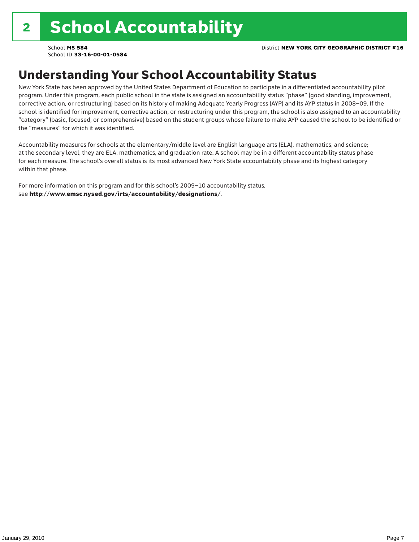# Understanding Your School Accountability Status

New York State has been approved by the United States Department of Education to participate in a differentiated accountability pilot program. Under this program, each public school in the state is assigned an accountability status "phase" (good standing, improvement, corrective action, or restructuring) based on its history of making Adequate Yearly Progress (AYP) and its AYP status in 2008–09. If the school is identified for improvement, corrective action, or restructuring under this program, the school is also assigned to an accountability "category" (basic, focused, or comprehensive) based on the student groups whose failure to make AYP caused the school to be identified or the "measures" for which it was identified.

Accountability measures for schools at the elementary/middle level are English language arts (ELA), mathematics, and science; at the secondary level, they are ELA, mathematics, and graduation rate. A school may be in a different accountability status phase for each measure. The school's overall status is its most advanced New York State accountability phase and its highest category within that phase.

For more information on this program and for this school's 2009–10 accountability status, see http://www.emsc.nysed.gov/irts/accountability/designations/.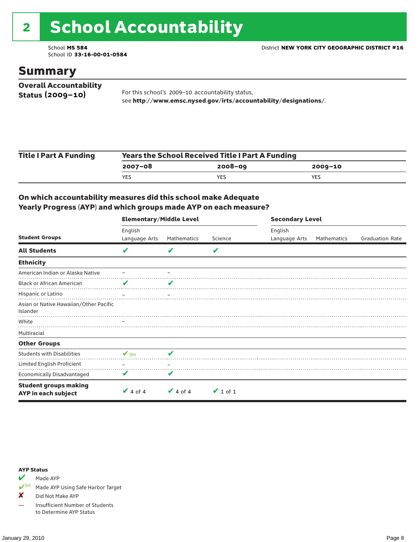# 2 School Accountability

School ID **33-16-00-01-0584**

### Summary

| <b>Overall Accountability</b> |                                                                  |
|-------------------------------|------------------------------------------------------------------|
| Status $(2009 - 10)$          | For this school's 2009-10 accountability status,                 |
|                               | see http://www.emsc.nysed.gov/irts/accountability/designations/. |

| <b>Title I Part A Funding</b> | <b>Years the School Received Title I Part A Funding</b> |             |             |  |  |  |
|-------------------------------|---------------------------------------------------------|-------------|-------------|--|--|--|
|                               | $2007 - 08$                                             | $2008 - 09$ | $2009 - 10$ |  |  |  |
|                               | YES.                                                    | YES         | YES         |  |  |  |

#### On which accountability measures did this school make Adequate Yearly Progress (AYP) and which groups made AYP on each measure?

|                                                     | <b>Elementary/Middle Level</b> |               |               |               | <b>Secondary Level</b> |                        |  |  |
|-----------------------------------------------------|--------------------------------|---------------|---------------|---------------|------------------------|------------------------|--|--|
|                                                     | English                        |               |               | English       |                        |                        |  |  |
| <b>Student Groups</b>                               | Language Arts                  | Mathematics   | Science       | Language Arts | Mathematics            | <b>Graduation Rate</b> |  |  |
| <b>All Students</b>                                 | V                              |               | V             |               |                        |                        |  |  |
| <b>Ethnicity</b>                                    |                                |               |               |               |                        |                        |  |  |
| American Indian or Alaska Native                    |                                |               |               |               |                        |                        |  |  |
| <b>Black or African American</b>                    | v                              |               |               |               |                        |                        |  |  |
| Hispanic or Latino                                  |                                |               |               |               |                        |                        |  |  |
| Asian or Native Hawaiian/Other Pacific<br>Islander  |                                |               |               |               |                        |                        |  |  |
| White                                               |                                |               |               |               |                        |                        |  |  |
| Multiracial                                         |                                |               |               |               |                        |                        |  |  |
| <b>Other Groups</b>                                 |                                |               |               |               |                        |                        |  |  |
| <b>Students with Disabilities</b>                   | $V_{\text{SH}}$                | ✔             |               |               |                        |                        |  |  |
| Limited English Proficient                          |                                |               |               |               |                        |                        |  |  |
| Economically Disadvantaged                          | V                              | v             |               |               |                        |                        |  |  |
| <b>Student groups making</b><br>AYP in each subject | $\vee$ 4 of 4                  | $\vee$ 4 of 4 | $\vee$ 1 of 1 |               |                        |                        |  |  |

#### AYP Status

 $\blacktriangleright$  Made AYP

✔SH Made AYP Using Safe Harbor Target

✘ Did Not Make AYP

— Insufficient Number of Students to Determine AYP Status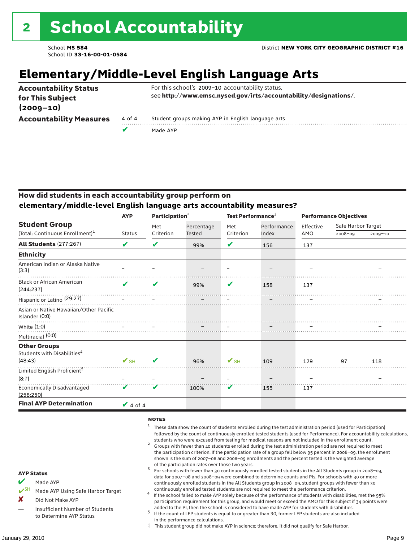# **Elementary/Middle-Level English Language Arts**

| <b>Accountability Status</b><br>for This Subject<br>$(2009 - 10)$ |        | For this school's 2009-10 accountability status,<br>see http://www.emsc.nysed.gov/irts/accountability/designations/. |
|-------------------------------------------------------------------|--------|----------------------------------------------------------------------------------------------------------------------|
| <b>Accountability Measures</b>                                    | 4 of 4 | Student groups making AYP in English language arts                                                                   |
|                                                                   |        | Made AYP                                                                                                             |

#### How did students in each accountability group perform on **elementary/middle-level English language arts accountability measures?**

| <b>AYP</b>    |                                                                    |               |                            |                          |                               | <b>Performance Objectives</b> |             |
|---------------|--------------------------------------------------------------------|---------------|----------------------------|--------------------------|-------------------------------|-------------------------------|-------------|
|               | Met                                                                | Percentage    | Met                        | Performance              | Effective                     | Safe Harbor Target            |             |
| <b>Status</b> | Criterion                                                          | <b>Tested</b> | Criterion                  | Index                    | AMO                           | $2008 - 09$                   | $2009 - 10$ |
| V             | V                                                                  | 99%           | V                          | 156                      | 137                           |                               |             |
|               |                                                                    |               |                            |                          |                               |                               |             |
|               |                                                                    |               |                            |                          |                               |                               |             |
| V             | V                                                                  | 99%           | V                          | 158                      | 137                           |                               |             |
|               |                                                                    |               |                            |                          |                               |                               |             |
|               |                                                                    |               |                            |                          |                               |                               |             |
|               |                                                                    |               |                            |                          |                               |                               |             |
|               |                                                                    |               |                            |                          |                               |                               |             |
|               |                                                                    |               |                            |                          |                               |                               |             |
|               |                                                                    |               |                            |                          |                               |                               |             |
|               | ✔                                                                  | 96%           |                            | 109                      | 129                           | 97                            | 118         |
|               |                                                                    |               |                            |                          |                               |                               |             |
|               |                                                                    |               |                            |                          |                               |                               |             |
| V             | V                                                                  | 100%          | V                          | 155                      | 137                           |                               |             |
| $\vee$ 4 of 4 |                                                                    |               |                            |                          |                               |                               |             |
|               | Asian or Native Hawaiian/Other Pacific<br>$\mathbf{V}_{\text{SH}}$ |               | Participation <sup>2</sup> | $\mathbf{V}_{\text{SH}}$ | Test Performance <sup>3</sup> |                               |             |

#### **NOTES**

- <sup>1</sup> These data show the count of students enrolled during the test administration period (used for Participation) followed by the count of continuously enrolled tested students (used for Performance). For accountability calculations,
- students who were excused from testing for medical reasons are not included in the enrollment count. <sup>2</sup> Groups with fewer than 40 students enrolled during the test administration period are not required to meet the participation criterion. If the participation rate of a group fell below 95 percent in 2008–09, the enrollment shown is the sum of 2007–08 and 2008–09 enrollments and the percent tested is the weighted average
- of the participation rates over those two years.<br><sup>3</sup> For schools with fewer than 30 continuously enrolled tested students in the All Students group in 2008–09, data for 2007–08 and 2008–09 were combined to determine counts and PIs. For schools with 30 or more continuously enrolled students in the All Students group in 2008–09, student groups with fewer than 30
- continuously enrolled tested students are not required to meet the performance criterion. <sup>4</sup> If the school failed to make AYP solely because of the performance of students with disabilities, met the 95% participation requirement for this group, and would meet or exceed the AMO for this subject if 34 points were added to the PI, then the school is considered to have made AYP for students with disabilities.
- $5$  If the count of LEP students is equal to or greater than 30, former LEP students are also included in the performance calculations.
- ‡ This student group did not make AYP in science; therefore, it did not qualify for Safe Harbor.
- $M$  Made AYP
	- Made AYP Using Safe Harbor Target
- X Did Not Make AYP
- Insufficient Number of Students to Determine AYP Status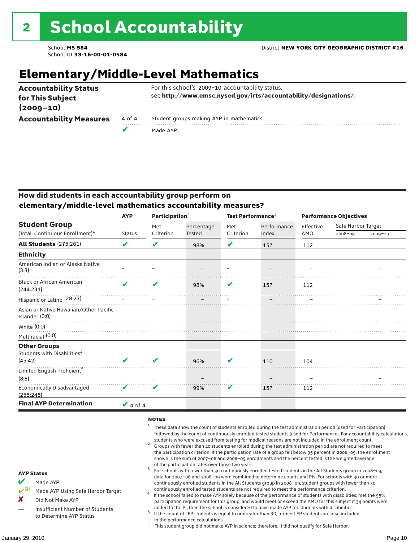# **Elementary/Middle-Level Mathematics**

| <b>Accountability Status</b><br>for This Subject<br>$(2009 - 10)$ |        | For this school's 2009-10 accountability status,<br>see http://www.emsc.nysed.gov/irts/accountability/designations/. |
|-------------------------------------------------------------------|--------|----------------------------------------------------------------------------------------------------------------------|
| <b>Accountability Measures</b>                                    | 4 of 4 | Student groups making AYP in mathematics                                                                             |
|                                                                   | v      | Made AYP                                                                                                             |

#### How did students in each accountability group perform on **elementary/middle-level mathematics accountability measures?**

|                                                          | Participation <sup>2</sup><br><b>AYP</b> |                                                                                 |            | Test Performance <sup>3</sup> |             | <b>Performance Objectives</b> |                    |             |
|----------------------------------------------------------|------------------------------------------|---------------------------------------------------------------------------------|------------|-------------------------------|-------------|-------------------------------|--------------------|-------------|
| <b>Student Group</b>                                     |                                          | Met                                                                             | Percentage | Met                           | Performance | Effective                     | Safe Harbor Target |             |
| (Total: Continuous Enrollment) <sup>1</sup>              | <b>Status</b>                            | Criterion                                                                       | Tested     | Criterion                     | Index       | AMO                           | $2008 - 09$        | $2009 - 10$ |
| <b>All Students (275:261)</b>                            | V                                        | V                                                                               | 98%        | V                             | 157         | 112                           |                    |             |
| <b>Ethnicity</b>                                         |                                          |                                                                                 |            |                               |             |                               |                    |             |
| American Indian or Alaska Native<br>(3:3)                |                                          |                                                                                 |            |                               |             |                               |                    |             |
| <b>Black or African American</b><br>(244:231)            | V                                        | V                                                                               | 98%        | V                             | 157         | 112                           |                    |             |
| Hispanic or Latino <sup>(28:27)</sup>                    |                                          | the contract of the contract of the contract of the contract of the contract of |            |                               |             |                               |                    |             |
| Asian or Native Hawaiian/Other Pacific<br>Islander (0:0) |                                          |                                                                                 |            |                               |             |                               |                    |             |
| White (0:0)                                              |                                          |                                                                                 |            |                               |             |                               |                    |             |
| Multiracial (0:0)                                        |                                          |                                                                                 |            |                               |             |                               |                    |             |
| <b>Other Groups</b>                                      |                                          |                                                                                 |            |                               |             |                               |                    |             |
| Students with Disabilities <sup>4</sup>                  |                                          |                                                                                 |            |                               |             |                               |                    |             |
| (45:42)                                                  | V                                        | V                                                                               | 96%        | V                             | 110         | 104                           |                    |             |
| Limited English Proficient <sup>5</sup>                  |                                          |                                                                                 |            |                               |             |                               |                    |             |
| (8:8)                                                    |                                          |                                                                                 |            |                               |             |                               |                    |             |
| <b>Economically Disadvantaged</b><br>(255:245)           | V                                        |                                                                                 | 99%        | V                             | 157         | 112                           |                    |             |
| <b>Final AYP Determination</b>                           | $\vee$ 4 of 4                            |                                                                                 |            |                               |             |                               |                    |             |

#### **NOTES**

- <sup>1</sup> These data show the count of students enrolled during the test administration period (used for Participation) followed by the count of continuously enrolled tested students (used for Performance). For accountability calculations,
- students who were excused from testing for medical reasons are not included in the enrollment count. <sup>2</sup> Groups with fewer than 40 students enrolled during the test administration period are not required to meet the participation criterion. If the participation rate of a group fell below 95 percent in 2008–09, the enrollment shown is the sum of 2007–08 and 2008–09 enrollments and the percent tested is the weighted average
- of the participation rates over those two years.<br><sup>3</sup> For schools with fewer than 30 continuously enrolled tested students in the All Students group in 2008–09, data for 2007–08 and 2008–09 were combined to determine counts and PIs. For schools with 30 or more continuously enrolled students in the All Students group in 2008–09, student groups with fewer than 30
- continuously enrolled tested students are not required to meet the performance criterion. <sup>4</sup> If the school failed to make AYP solely because of the performance of students with disabilities, met the 95% participation requirement for this group, and would meet or exceed the AMO for this subject if 34 points were added to the PI, then the school is considered to have made AYP for students with disabilities.
- $5$  If the count of LEP students is equal to or greater than 30, former LEP students are also included in the performance calculations.
- ‡ This student group did not make AYP in science; therefore, it did not qualify for Safe Harbor.
- Made AYP
	- Made AYP Using Safe Harbor Target
- X Did Not Make AYP
- Insufficient Number of Students to Determine AYP Status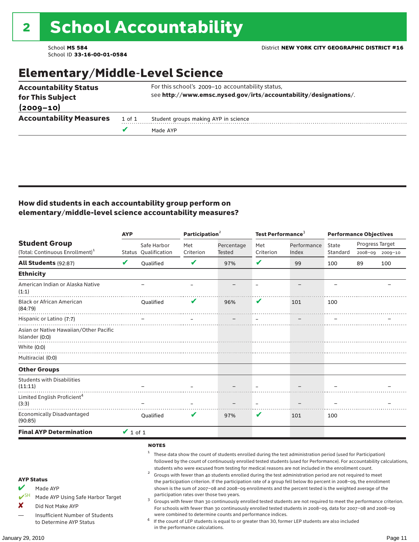# Elementary/Middle-Level Science

|                                   | v      | Made AYP                                                         |
|-----------------------------------|--------|------------------------------------------------------------------|
| <b>Accountability Measures</b>    | 1 of 1 | Student groups making AYP in science                             |
| for This Subject<br>$(2009 - 10)$ |        | see http://www.emsc.nysed.gov/irts/accountability/designations/. |
| <b>Accountability Status</b>      |        | For this school's 2009-10 accountability status,                 |

#### How did students in each accountability group perform on elementary/middle-level science accountability measures?

|                                                                                                                                                                                   | <b>AYP</b>    |                                                              | Participation <sup>2</sup>                                                    |                                                            | Test Performance $^3$ |                                                                                                                                                                                                                                                                                                                                                                                                                                                                                                                                                                                                                                                                                                                                                                                                                                                                                                                                                                                                                                                 | <b>Performance Objectives</b> |                 |                 |
|-----------------------------------------------------------------------------------------------------------------------------------------------------------------------------------|---------------|--------------------------------------------------------------|-------------------------------------------------------------------------------|------------------------------------------------------------|-----------------------|-------------------------------------------------------------------------------------------------------------------------------------------------------------------------------------------------------------------------------------------------------------------------------------------------------------------------------------------------------------------------------------------------------------------------------------------------------------------------------------------------------------------------------------------------------------------------------------------------------------------------------------------------------------------------------------------------------------------------------------------------------------------------------------------------------------------------------------------------------------------------------------------------------------------------------------------------------------------------------------------------------------------------------------------------|-------------------------------|-----------------|-----------------|
| <b>Student Group</b>                                                                                                                                                              |               | Safe Harbor                                                  | Met                                                                           | Percentage                                                 | Met                   | Performance                                                                                                                                                                                                                                                                                                                                                                                                                                                                                                                                                                                                                                                                                                                                                                                                                                                                                                                                                                                                                                     | State                         | Progress Target |                 |
| (Total: Continuous Enrollment) <sup>1</sup>                                                                                                                                       |               | Status Qualification                                         | Criterion                                                                     | Tested                                                     | Criterion             | Index                                                                                                                                                                                                                                                                                                                                                                                                                                                                                                                                                                                                                                                                                                                                                                                                                                                                                                                                                                                                                                           | Standard                      |                 | 2008-09 2009-10 |
| All Students (92:87)                                                                                                                                                              | V             | Qualified                                                    | V                                                                             | 97%                                                        | V                     | 99                                                                                                                                                                                                                                                                                                                                                                                                                                                                                                                                                                                                                                                                                                                                                                                                                                                                                                                                                                                                                                              | 100                           | 89              | 100             |
| <b>Ethnicity</b>                                                                                                                                                                  |               |                                                              |                                                                               |                                                            |                       |                                                                                                                                                                                                                                                                                                                                                                                                                                                                                                                                                                                                                                                                                                                                                                                                                                                                                                                                                                                                                                                 |                               |                 |                 |
| American Indian or Alaska Native<br>(1:1)                                                                                                                                         |               |                                                              |                                                                               |                                                            | $\equiv$              |                                                                                                                                                                                                                                                                                                                                                                                                                                                                                                                                                                                                                                                                                                                                                                                                                                                                                                                                                                                                                                                 |                               |                 |                 |
| <b>Black or African American</b><br>(84:79)                                                                                                                                       |               | Oualified                                                    |                                                                               | 96%                                                        | V                     | 101                                                                                                                                                                                                                                                                                                                                                                                                                                                                                                                                                                                                                                                                                                                                                                                                                                                                                                                                                                                                                                             | 100                           |                 |                 |
| Hispanic or Latino (7:7)                                                                                                                                                          |               |                                                              |                                                                               |                                                            |                       |                                                                                                                                                                                                                                                                                                                                                                                                                                                                                                                                                                                                                                                                                                                                                                                                                                                                                                                                                                                                                                                 |                               |                 |                 |
| Asian or Native Hawaiian/Other Pacific<br>Islander (0:0)                                                                                                                          |               |                                                              |                                                                               |                                                            |                       |                                                                                                                                                                                                                                                                                                                                                                                                                                                                                                                                                                                                                                                                                                                                                                                                                                                                                                                                                                                                                                                 |                               |                 |                 |
| White (0:0)                                                                                                                                                                       |               |                                                              |                                                                               |                                                            |                       |                                                                                                                                                                                                                                                                                                                                                                                                                                                                                                                                                                                                                                                                                                                                                                                                                                                                                                                                                                                                                                                 |                               |                 |                 |
| Multiracial (0:0)                                                                                                                                                                 |               |                                                              |                                                                               |                                                            |                       |                                                                                                                                                                                                                                                                                                                                                                                                                                                                                                                                                                                                                                                                                                                                                                                                                                                                                                                                                                                                                                                 |                               |                 |                 |
| <b>Other Groups</b>                                                                                                                                                               |               |                                                              |                                                                               |                                                            |                       |                                                                                                                                                                                                                                                                                                                                                                                                                                                                                                                                                                                                                                                                                                                                                                                                                                                                                                                                                                                                                                                 |                               |                 |                 |
| <b>Students with Disabilities</b><br>(11:11)                                                                                                                                      |               |                                                              |                                                                               |                                                            |                       |                                                                                                                                                                                                                                                                                                                                                                                                                                                                                                                                                                                                                                                                                                                                                                                                                                                                                                                                                                                                                                                 |                               |                 |                 |
| Limited English Proficient <sup>4</sup><br>(3:3)                                                                                                                                  |               |                                                              |                                                                               |                                                            |                       |                                                                                                                                                                                                                                                                                                                                                                                                                                                                                                                                                                                                                                                                                                                                                                                                                                                                                                                                                                                                                                                 |                               |                 |                 |
| <b>Economically Disadvantaged</b><br>(90:85)                                                                                                                                      |               | Qualified                                                    | V                                                                             | 97%                                                        | V                     | 101                                                                                                                                                                                                                                                                                                                                                                                                                                                                                                                                                                                                                                                                                                                                                                                                                                                                                                                                                                                                                                             | 100                           |                 |                 |
| <b>Final AYP Determination</b>                                                                                                                                                    | $\vee$ 1 of 1 |                                                              |                                                                               |                                                            |                       |                                                                                                                                                                                                                                                                                                                                                                                                                                                                                                                                                                                                                                                                                                                                                                                                                                                                                                                                                                                                                                                 |                               |                 |                 |
| <b>AYP Status</b><br>V<br>Made AYP<br>$V^{\text{SH}}$<br>Made AYP Using Safe Harbor Target<br>x<br>Did Not Make AYP<br>Insufficient Number of Students<br>to Determine AYP Status |               | <b>NOTES</b><br>$\mathbf{1}$<br>$\overline{\mathbf{c}}$<br>3 | participation rates over those two years.<br>in the performance calculations. | were combined to determine counts and performance indices. |                       | These data show the count of students enrolled during the test administration period (used for Participation)<br>followed by the count of continuously enrolled tested students (used for Performance). For accountability calculations,<br>students who were excused from testing for medical reasons are not included in the enrollment count.<br>Groups with fewer than 40 students enrolled during the test administration period are not required to meet<br>the participation criterion. If the participation rate of a group fell below 80 percent in 2008-09, the enrollment<br>shown is the sum of 2007-08 and 2008-09 enrollments and the percent tested is the weighted average of the<br>Groups with fewer than 30 continuously enrolled tested students are not required to meet the performance criterion.<br>For schools with fewer than 30 continuously enrolled tested students in 2008-09, data for 2007-08 and 2008-09<br>If the count of LEP students is equal to or greater than 30, former LEP students are also included |                               |                 |                 |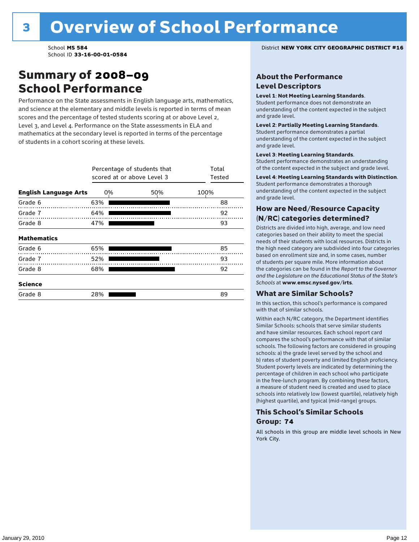### Summary of 2008–09 School Performance

Performance on the State assessments in English language arts, mathematics, and science at the elementary and middle levels is reported in terms of mean scores and the percentage of tested students scoring at or above Level 2, Level 3, and Level 4. Performance on the State assessments in ELA and mathematics at the secondary level is reported in terms of the percentage of students in a cohort scoring at these levels.

|                              |     | Percentage of students that<br>scored at or above Level 3 |      |  |  |  |  |  |
|------------------------------|-----|-----------------------------------------------------------|------|--|--|--|--|--|
| <b>English Language Arts</b> | 0%  | 50%                                                       | 100% |  |  |  |  |  |
| Grade 6                      | 63% |                                                           | 88   |  |  |  |  |  |
| Grade 7                      | 64% |                                                           | 92   |  |  |  |  |  |
| Grade 8                      | 47% |                                                           | 93   |  |  |  |  |  |
| <b>Mathematics</b>           |     |                                                           |      |  |  |  |  |  |
| Grade 6                      | 65% |                                                           | 85   |  |  |  |  |  |
| Grade 7                      | 52% |                                                           | 93   |  |  |  |  |  |
| Grade 8                      | 68% |                                                           | 92   |  |  |  |  |  |
| <b>Science</b>               |     |                                                           |      |  |  |  |  |  |
| Grade 8                      | 28% |                                                           | 89   |  |  |  |  |  |

School **MS 584** District **NEW YORK CITY GEOGRAPHIC DISTRICT #16**

#### About the Performance Level Descriptors

#### Level 1: Not Meeting Learning Standards.

Student performance does not demonstrate an understanding of the content expected in the subject and grade level.

#### Level 2: Partially Meeting Learning Standards.

Student performance demonstrates a partial understanding of the content expected in the subject and grade level.

#### Level 3: Meeting Learning Standards.

Student performance demonstrates an understanding of the content expected in the subject and grade level.

#### Level 4: Meeting Learning Standards with Distinction.

Student performance demonstrates a thorough understanding of the content expected in the subject and grade level.

#### How are Need/Resource Capacity (N/RC) categories determined?

Districts are divided into high, average, and low need categories based on their ability to meet the special needs of their students with local resources. Districts in the high need category are subdivided into four categories based on enrollment size and, in some cases, number of students per square mile. More information about the categories can be found in the *Report to the Governor and the Legislature on the Educational Status of the State's Schools* at www.emsc.nysed.gov/irts.

#### What are Similar Schools?

In this section, this school's performance is compared with that of similar schools.

Within each N/RC category, the Department identifies Similar Schools: schools that serve similar students and have similar resources. Each school report card compares the school's performance with that of similar schools. The following factors are considered in grouping schools: a) the grade level served by the school and b) rates of student poverty and limited English proficiency. Student poverty levels are indicated by determining the percentage of children in each school who participate in the free-lunch program. By combining these factors, a measure of student need is created and used to place schools into relatively low (lowest quartile), relatively high (highest quartile), and typical (mid-range) groups.

#### This School's Similar Schools Group: **74**

All schools in this group are middle level schools in New York City.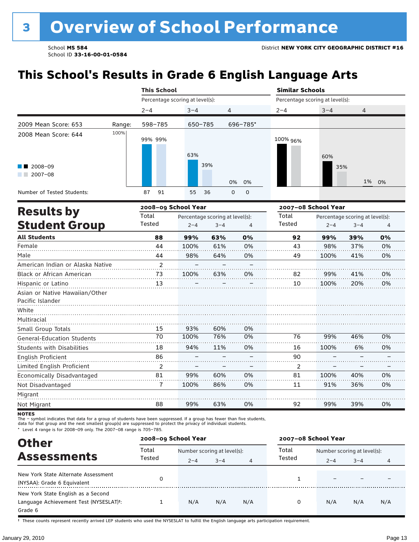# **This School's Results in Grade 6 English Language Arts**

|                                                    |        |                                                                                                                                                                                                                                                                                                                                    |      |     |    | <b>Similar Schools</b>          |         |                                 |    |
|----------------------------------------------------|--------|------------------------------------------------------------------------------------------------------------------------------------------------------------------------------------------------------------------------------------------------------------------------------------------------------------------------------------|------|-----|----|---------------------------------|---------|---------------------------------|----|
|                                                    |        | <b>This School</b><br>Percentage scoring at level(s):<br>$2 - 4$<br>$3 - 4$<br>4<br>598-785<br>650-785<br>696-785*<br>99% 99%<br>63%<br>39%<br>0%<br>0%<br>87<br>91<br>$\mathbf 0$<br>$\mathbf 0$<br>55<br>36<br>2008-09 School Year<br>Total<br>Percentage scoring at level(s):<br>Tested<br>$2 - 4$<br>$3 - 4$<br>$\overline{4}$ |      |     |    | Percentage scoring at level(s): |         |                                 |    |
|                                                    |        |                                                                                                                                                                                                                                                                                                                                    |      |     |    | $2 - 4$                         | $3 - 4$ | $\overline{4}$                  |    |
| 2009 Mean Score: 653                               | Range: |                                                                                                                                                                                                                                                                                                                                    |      |     |    |                                 |         |                                 |    |
| 2008 Mean Score: 644                               | 100%   |                                                                                                                                                                                                                                                                                                                                    |      |     |    | 100% 96%                        | 60%     |                                 |    |
| 2008-09<br>$2007 - 08$                             |        |                                                                                                                                                                                                                                                                                                                                    |      |     |    |                                 | 35%     | 1%                              | 0% |
| Number of Tested Students:                         |        |                                                                                                                                                                                                                                                                                                                                    |      |     |    |                                 |         |                                 |    |
| <b>Results by</b>                                  |        |                                                                                                                                                                                                                                                                                                                                    |      |     |    | 2007-08 School Year             |         |                                 |    |
|                                                    |        |                                                                                                                                                                                                                                                                                                                                    |      |     |    | Total                           |         | Percentage scoring at level(s): |    |
| <b>Student Group</b>                               |        |                                                                                                                                                                                                                                                                                                                                    |      |     |    | Tested                          | $2 - 4$ | $3 - 4$                         | 4  |
| <b>All Students</b>                                |        | 88                                                                                                                                                                                                                                                                                                                                 | 99%  | 63% | 0% | 92                              | 99%     | 39%                             | 0% |
| Female                                             |        | 44                                                                                                                                                                                                                                                                                                                                 | 100% | 61% | 0% | 43                              | 98%     | 37%                             | 0% |
| Male                                               |        | 44                                                                                                                                                                                                                                                                                                                                 | 98%  | 64% | 0% | 49                              | 100%    | 41%                             | 0% |
| American Indian or Alaska Native                   |        | 2                                                                                                                                                                                                                                                                                                                                  |      |     |    |                                 |         |                                 |    |
| Black or African American                          |        | 73                                                                                                                                                                                                                                                                                                                                 | 100% | 63% | 0% | 82                              | 99%     | 41%                             | 0% |
| Hispanic or Latino                                 |        | 13                                                                                                                                                                                                                                                                                                                                 |      |     |    | 10                              | 100%    | 20%                             | 0% |
| Asian or Native Hawaiian/Other<br>Pacific Islander |        |                                                                                                                                                                                                                                                                                                                                    |      |     |    |                                 |         |                                 |    |
| White                                              |        |                                                                                                                                                                                                                                                                                                                                    |      |     |    |                                 |         |                                 |    |
| Multiracial                                        |        |                                                                                                                                                                                                                                                                                                                                    |      |     |    |                                 |         |                                 |    |
| Small Group Totals                                 |        | 15                                                                                                                                                                                                                                                                                                                                 | 93%  | 60% | 0% |                                 |         |                                 |    |
| <b>General-Education Students</b>                  |        | 70                                                                                                                                                                                                                                                                                                                                 | 100% | 76% | 0% | 76                              | 99%     | 46%                             | 0% |
| <b>Students with Disabilities</b>                  |        | 18                                                                                                                                                                                                                                                                                                                                 | 94%  | 11% | 0% | 16                              | 100%    | 6%                              | 0% |
| English Proficient                                 |        | 86                                                                                                                                                                                                                                                                                                                                 |      |     |    | 90                              |         |                                 |    |
| Limited English Proficient                         |        | $\overline{2}$                                                                                                                                                                                                                                                                                                                     |      |     |    | 2                               |         |                                 |    |
| Economically Disadvantaged                         |        | 81                                                                                                                                                                                                                                                                                                                                 | 99%  | 60% | 0% | 81                              | 100%    | 40%                             | 0% |
| Not Disadvantaged                                  |        | 7                                                                                                                                                                                                                                                                                                                                  | 100% | 86% | 0% | 11                              | 91%     | 36%                             | 0% |
| Migrant                                            |        |                                                                                                                                                                                                                                                                                                                                    |      |     |    |                                 |         |                                 |    |
| Not Migrant                                        |        | 88                                                                                                                                                                                                                                                                                                                                 | 99%  | 63% | 0% | 92                              | 99%     | 39%                             | 0% |

**NOTES** 

The – symbol indicates that data for a group of students have been suppressed. If a group has fewer than five students,<br>data for that group and the next smallest group(s) are suppressed to protect the privacy of individual

\* Level 4 range is for 2008–09 only. The 2007–08 range is 705–785.

| <b>Other</b>                                                                                         | 2008-09 School Year |                             |         |                | 2007-08 School Year |                             |         |     |
|------------------------------------------------------------------------------------------------------|---------------------|-----------------------------|---------|----------------|---------------------|-----------------------------|---------|-----|
|                                                                                                      | Total               | Number scoring at level(s): |         |                | Total               | Number scoring at level(s): |         |     |
| <b>Assessments</b>                                                                                   | Tested              | $2 - 4$                     | $3 - 4$ | $\overline{4}$ | Tested              | $2 - 4$                     | $3 - 4$ | 4   |
| New York State Alternate Assessment<br>(NYSAA): Grade 6 Equivalent                                   |                     |                             |         |                |                     |                             |         |     |
| New York State English as a Second<br>Language Achievement Test (NYSESLAT) <sup>t</sup> :<br>Grade 6 |                     | N/A                         | N/A     | N/A            | 0                   | N/A                         | N/A     | N/A |

† These counts represent recently arrived LEP students who used the NYSESLAT to fulfill the English language arts participation requirement.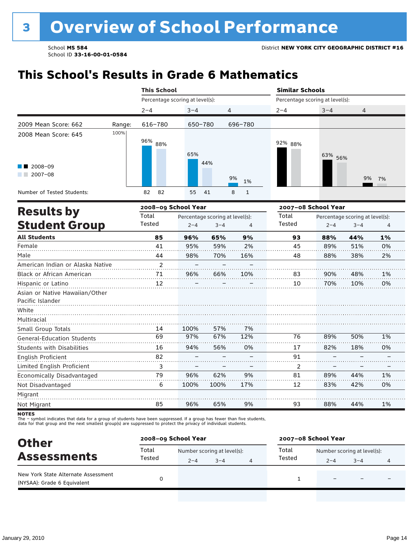### **This School's Results in Grade 6 Mathematics**

|                                                    |        | <b>This School</b>              |         |                                 |                                 | <b>Similar Schools</b> |                     |                                 |    |  |
|----------------------------------------------------|--------|---------------------------------|---------|---------------------------------|---------------------------------|------------------------|---------------------|---------------------------------|----|--|
|                                                    |        | Percentage scoring at level(s): |         |                                 | Percentage scoring at level(s): |                        |                     |                                 |    |  |
|                                                    |        | $2 - 4$                         | $3 - 4$ | 4                               |                                 | $2 - 4$                | $3 - 4$             | 4                               |    |  |
| 2009 Mean Score: 662                               | Range: | 616-780                         | 650-780 |                                 | 696-780                         |                        |                     |                                 |    |  |
| 2008 Mean Score: 645                               | 100%   | 96% 88%                         | 65%     |                                 |                                 | 92% 88%                | 63% 56%             |                                 |    |  |
| 2008-09<br>$2007 - 08$                             |        |                                 |         | 44%                             | 9%<br>1%                        |                        |                     | 9%                              | 7% |  |
| Number of Tested Students:                         |        | 82<br>82                        | 55      | 41                              | 8<br>$\mathbf{1}$               |                        |                     |                                 |    |  |
| <b>Results by</b>                                  |        | 2008-09 School Year             |         |                                 |                                 |                        | 2007-08 School Year |                                 |    |  |
|                                                    |        | Total                           |         | Percentage scoring at level(s): |                                 | Total                  |                     | Percentage scoring at level(s): |    |  |
| <b>Student Group</b>                               |        | Tested                          | $2 - 4$ | $3 - 4$                         | 4                               | Tested                 | $2 - 4$             | $3 - 4$                         | 4  |  |
| <b>All Students</b>                                |        | 85                              | 96%     | 65%                             | 9%                              | 93                     | 88%                 | 44%                             | 1% |  |
| Female                                             |        | 41                              | 95%     | 59%                             | 2%                              | 45                     | 89%                 | 51%                             | 0% |  |
| Male                                               |        | 44                              | 98%     | 70%                             | 16%                             | 48                     | 88%                 | 38%                             | 2% |  |
| American Indian or Alaska Native                   |        | $\overline{c}$                  |         |                                 |                                 |                        |                     |                                 |    |  |
| Black or African American                          |        | 71                              | 96%     | 66%                             | 10%                             | 83                     | 90%                 | 48%                             | 1% |  |
| Hispanic or Latino                                 |        | 12                              |         |                                 |                                 | 10                     | 70%                 | 10%                             | 0% |  |
| Asian or Native Hawaiian/Other<br>Pacific Islander |        |                                 |         |                                 |                                 |                        |                     |                                 |    |  |
| White                                              |        |                                 |         |                                 |                                 |                        |                     |                                 |    |  |
| Multiracial                                        |        |                                 |         |                                 |                                 |                        |                     |                                 |    |  |
| Small Group Totals                                 |        | 14                              | 100%    | 57%                             | 7%                              |                        |                     |                                 |    |  |
| <b>General-Education Students</b>                  |        | 69                              | 97%     | 67%                             | 12%                             | 76                     | 89%                 | 50%                             | 1% |  |
| <b>Students with Disabilities</b>                  |        | 16                              | 94%     | 56%                             | 0%                              | 17                     | 82%                 | 18%                             | 0% |  |
| English Proficient                                 |        | 82                              |         |                                 |                                 | 91                     |                     |                                 |    |  |
| Limited English Proficient                         |        | 3                               |         |                                 |                                 | 2                      |                     |                                 |    |  |
| Economically Disadvantaged                         |        | 79                              | 96%     | 62%                             | 9%                              | 81                     | 89%                 | 44%                             | 1% |  |
| Not Disadvantaged                                  |        | 6                               | 100%    | 100%                            | 17%                             | 12                     | 83%                 | 42%                             | 0% |  |
| Migrant                                            |        |                                 |         |                                 |                                 |                        |                     |                                 |    |  |

**NOTES** 

Not Migrant

The – symbol indicates that data for a group of students have been suppressed. If a group has fewer than five students,<br>data for that group and the next smallest group(s) are suppressed to protect the privacy of individual

85

| <b>Other</b>                                                       | 2008-09 School Year |                             |         | 2007-08 School Year |                             |         |  |
|--------------------------------------------------------------------|---------------------|-----------------------------|---------|---------------------|-----------------------------|---------|--|
| <b>Assessments</b>                                                 | Total<br>Tested     | Number scoring at level(s): |         | Total               | Number scoring at level(s): |         |  |
|                                                                    |                     | $2 - 4$                     | $3 - 4$ | Tested              | $2 - 4$                     | $3 - 4$ |  |
| New York State Alternate Assessment<br>(NYSAA): Grade 6 Equivalent |                     |                             |         |                     |                             |         |  |

65%

9%

93

88%

44%

1%

96%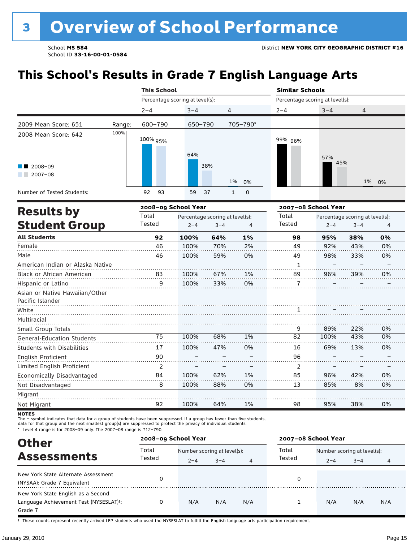# **This School's Results in Grade 7 English Language Arts**

|                                   |        | <b>This School</b>              |                                 |         |                             | <b>Similar Schools</b>          |                     |                                 |                |
|-----------------------------------|--------|---------------------------------|---------------------------------|---------|-----------------------------|---------------------------------|---------------------|---------------------------------|----------------|
|                                   |        | Percentage scoring at level(s): |                                 |         |                             | Percentage scoring at level(s): |                     |                                 |                |
|                                   |        | $2 - 4$                         | $3 - 4$                         |         | 4                           | $2 - 4$                         | $3 - 4$             | 4                               |                |
| 2009 Mean Score: 651              | Range: | 600-790                         | 650-790                         |         | 705-790*                    |                                 |                     |                                 |                |
| 2008 Mean Score: 642              | 100%   | 100% 95%                        | 64%                             |         |                             | 99% 96%                         | 57%                 |                                 |                |
| 2008-09<br>$2007 - 08$            |        |                                 |                                 | 38%     | 1%<br>0%                    |                                 | 45%                 |                                 | 1% 0%          |
| Number of Tested Students:        |        | 93<br>92                        | 59                              | 37      | $\mathbf{1}$<br>$\mathbf 0$ |                                 |                     |                                 |                |
| <b>Results by</b>                 |        | 2008-09 School Year             |                                 |         |                             |                                 | 2007-08 School Year |                                 |                |
|                                   |        | Total                           | Percentage scoring at level(s): |         |                             | Total                           |                     | Percentage scoring at level(s): |                |
| <b>Student Group</b>              |        | Tested                          | $2 - 4$                         | $3 - 4$ | 4                           | Tested                          | $2 - 4$             | $3 - 4$                         | $\overline{4}$ |
| <b>All Students</b>               |        | 92                              | 100%                            | 64%     | 1%                          | 98                              | 95%                 | 38%                             | 0%             |
| Female                            |        | 46                              | 100%                            | 70%     | 2%                          | 49                              | 92%                 | 43%                             | 0%             |
| Male                              |        | 46                              | 100%                            | 59%     | 0%                          | 49                              | 98%                 | 33%                             | 0%             |
| American Indian or Alaska Native  |        |                                 |                                 |         |                             | $\mathbf{1}$                    |                     |                                 |                |
| Black or African American         |        | 83                              | 100%                            | 67%     | 1%                          | 89                              | 96%                 | 39%                             | 0%             |
| Hispanic or Latino                |        | 9                               | 100%                            | 33%     | 0%                          | $\overline{7}$                  |                     |                                 |                |
| Asian or Native Hawaiian/Other    |        |                                 |                                 |         |                             |                                 |                     |                                 |                |
| Pacific Islander                  |        |                                 |                                 |         |                             |                                 |                     |                                 |                |
| White                             |        |                                 |                                 |         |                             |                                 |                     |                                 |                |
| Multiracial                       |        |                                 |                                 |         |                             |                                 |                     |                                 |                |
| Small Group Totals                |        |                                 |                                 |         |                             | 9                               | 89%                 | 22%                             | 0%             |
| <b>General-Education Students</b> |        | 75                              | 100%                            | 68%     | 1%                          | $\overline{82}$                 | 100%                | 43%                             | 0%             |
| <b>Students with Disabilities</b> |        | 17                              | 100%                            | 47%     | 0%                          | 16                              | 69%                 | 13%                             | 0%             |
| English Proficient                |        | 90                              |                                 |         |                             | 96                              |                     |                                 |                |
| Limited English Proficient        |        | $\overline{2}$                  |                                 |         |                             | $\overline{2}$                  |                     |                                 |                |
| Economically Disadvantaged        |        | 84                              | 100%                            | 62%     | 1%                          | 85                              | 96%                 | 42%                             | 0%             |
| Not Disadvantaged                 |        | 8                               | 100%                            | 88%     | 0%                          | 13                              | 85%                 | 8%                              | 0%             |
| Migrant                           |        |                                 |                                 |         |                             |                                 |                     |                                 |                |
| Not Migrant                       |        | 92                              | 100%                            | 64%     | 1%                          | 98                              | 95%                 | 38%                             | 0%             |

**NOTES** 

The – symbol indicates that data for a group of students have been suppressed. If a group has fewer than five students,<br>data for that group and the next smallest group(s) are suppressed to protect the privacy of individual

\* Level 4 range is for 2008–09 only. The 2007–08 range is 712–790.

| <b>Other</b>                                                                                         |        | 2008-09 School Year         |         |                | 2007-08 School Year |                             |         |     |
|------------------------------------------------------------------------------------------------------|--------|-----------------------------|---------|----------------|---------------------|-----------------------------|---------|-----|
| <b>Assessments</b>                                                                                   | Total  | Number scoring at level(s): |         |                | Total               | Number scoring at level(s): |         |     |
|                                                                                                      | Tested | $2 - 4$                     | $3 - 4$ | $\overline{4}$ | Tested              | $2 - 4$                     | $3 - 4$ | 4   |
| New York State Alternate Assessment<br>(NYSAA): Grade 7 Equivalent                                   |        |                             |         |                | 0                   |                             |         |     |
| New York State English as a Second<br>Language Achievement Test (NYSESLAT) <sup>+</sup> :<br>Grade 7 | 0      | N/A                         | N/A     | N/A            |                     | N/A                         | N/A     | N/A |

† These counts represent recently arrived LEP students who used the NYSESLAT to fulfill the English language arts participation requirement.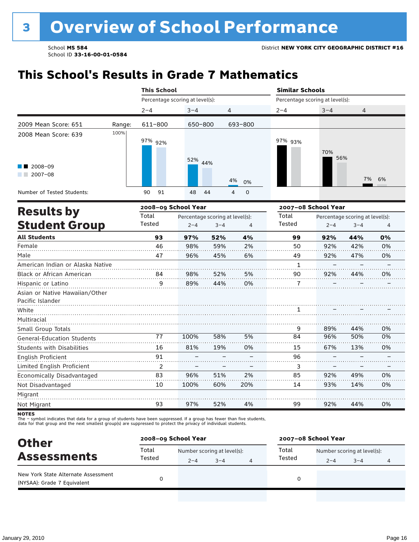## **This School's Results in Grade 7 Mathematics**

|                                   | <b>This School</b>              |         |                                 |          | <b>Similar Schools</b>          |            |                                 |                |
|-----------------------------------|---------------------------------|---------|---------------------------------|----------|---------------------------------|------------|---------------------------------|----------------|
|                                   | Percentage scoring at level(s): |         |                                 |          | Percentage scoring at level(s): |            |                                 |                |
|                                   | $2 - 4$                         | $3 - 4$ | $\overline{4}$                  |          | $2 - 4$                         | $3 - 4$    | 4                               |                |
| 2009 Mean Score: 651<br>Range:    | 611-800                         | 650-800 |                                 | 693-800  |                                 |            |                                 |                |
| 100%<br>2008 Mean Score: 639      | 97% 92%                         | 52%     |                                 |          | 97% 93%                         | 70%<br>56% |                                 |                |
| 2008-09<br>$2007 - 08$            |                                 |         | 44%                             | 4%<br>0% |                                 |            | 7%                              | 6%             |
| Number of Tested Students:        | 91<br>90                        | 48      | 44                              | 0<br>4   |                                 |            |                                 |                |
| <b>Results by</b>                 | 2008-09 School Year             |         |                                 |          | 2007-08 School Year             |            |                                 |                |
|                                   | Total                           |         | Percentage scoring at level(s): |          | Total                           |            | Percentage scoring at level(s): |                |
| <b>Student Group</b>              | Tested                          | $2 - 4$ | $3 - 4$                         | 4        | Tested                          | $2 - 4$    | $3 - 4$                         | $\overline{4}$ |
| <b>All Students</b>               | 93                              | 97%     | 52%                             | 4%       | 99                              | 92%        | 44%                             | 0%             |
| Female                            | 46                              | 98%     | 59%                             | 2%       | 50                              | 92%        | 42%                             | 0%             |
| Male                              | 47                              | 96%     | 45%                             | 6%       | 49                              | 92%        | 47%                             | 0%             |
| American Indian or Alaska Native  |                                 |         |                                 |          | $\mathbf{1}$                    |            |                                 |                |
| <b>Black or African American</b>  | 84                              | 98%     | 52%                             | 5%       | 90                              | 92%        | 44%                             | 0%             |
| Hispanic or Latino                | 9                               | 89%     | 44%                             | 0%       | 7                               |            |                                 |                |
| Asian or Native Hawaiian/Other    |                                 |         |                                 |          |                                 |            |                                 |                |
| Pacific Islander                  |                                 |         |                                 |          |                                 |            |                                 |                |
| White                             |                                 |         |                                 |          | 1                               |            |                                 |                |
| Multiracial<br>Small Group Totals |                                 |         |                                 |          | 9                               | 89%        | 44%                             | 0%             |
| <b>General-Education Students</b> | 77                              | 100%    | 58%                             | 5%       | 84                              | 96%        | 50%                             | 0%             |
| <b>Students with Disabilities</b> | 16                              | 81%     | 19%                             | 0%       | 15                              | 67%        | 13%                             | 0%             |
| English Proficient                | 91                              |         |                                 |          | 96                              |            |                                 |                |
| Limited English Proficient        | $\overline{2}$                  |         |                                 |          | 3                               |            |                                 |                |
| Economically Disadvantaged        | 83                              | 96%     | 51%                             | 2%       | 85                              | 92%        | 49%                             | 0%             |
| Not Disadvantaged                 | 10                              | 100%    | 60%                             | 20%      | 14                              | 93%        | 14%                             | 0%             |
| Migrant                           |                                 |         |                                 |          |                                 |            |                                 |                |
| Not Migrant                       | 93                              | 97%     | 52%                             | 4%       | 99                              | 92%        | 44%                             | 0%             |

**NOTES** 

The – symbol indicates that data for a group of students have been suppressed. If a group has fewer than five students,<br>data for that group and the next smallest group(s) are suppressed to protect the privacy of individual

| <b>Other</b>                                                       | 2008-09 School Year |                             |         |   | 2007-08 School Year |                             |         |   |  |
|--------------------------------------------------------------------|---------------------|-----------------------------|---------|---|---------------------|-----------------------------|---------|---|--|
|                                                                    | Total               | Number scoring at level(s): |         |   | Total               | Number scoring at level(s): |         |   |  |
| <b>Assessments</b>                                                 | Tested              | $2 - 4$                     | $3 - 4$ | 4 | Tested              | $2 - 4$                     | $3 - 4$ | 4 |  |
| New York State Alternate Assessment<br>(NYSAA): Grade 7 Equivalent |                     |                             |         |   | 0                   |                             |         |   |  |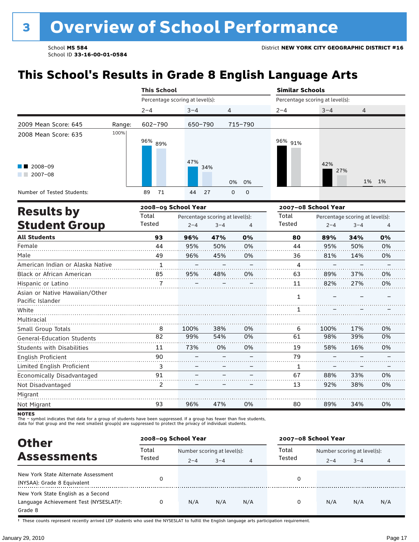# **This School's Results in Grade 8 English Language Arts**

|                                                                                  |        |                                 | <b>This School</b> |                                 |                              |                                 | <b>Similar Schools</b> |                                 |       |  |  |  |
|----------------------------------------------------------------------------------|--------|---------------------------------|--------------------|---------------------------------|------------------------------|---------------------------------|------------------------|---------------------------------|-------|--|--|--|
|                                                                                  |        | Percentage scoring at level(s): |                    |                                 |                              | Percentage scoring at level(s): |                        |                                 |       |  |  |  |
|                                                                                  |        | $2 - 4$                         | $3 - 4$            | 4                               |                              | $2 - 4$                         | $3 - 4$                | 4                               |       |  |  |  |
| 2009 Mean Score: 645                                                             | Range: | $602 - 790$                     | 650-790            |                                 | 715-790                      |                                 |                        |                                 |       |  |  |  |
| 2008 Mean Score: 635<br>$2008 - 09$<br>$2007 - 08$<br>Number of Tested Students: | 100%   | 96% <sub>89%</sub><br>71<br>89  | 47%<br>44          | 34%<br>27                       | 0%<br>0%<br>0<br>$\mathbf 0$ | 96% 91%                         | 42%<br>27%             | $1\%$                           | 1%    |  |  |  |
|                                                                                  |        | 2008-09 School Year             |                    |                                 |                              | 2007-08 School Year             |                        |                                 |       |  |  |  |
| <b>Results by</b>                                                                |        | Total                           |                    | Percentage scoring at level(s): |                              | Total                           |                        | Percentage scoring at level(s): |       |  |  |  |
| <b>Student Group</b>                                                             |        | Tested                          | $2 - 4$            | $3 - 4$                         | 4                            | Tested                          | $2 - 4$                | $3 - 4$                         | 4     |  |  |  |
| <b>All Students</b>                                                              |        | 93                              | 96%                | 47%                             | 0%                           | 80                              | 89%                    | 34%                             | 0%    |  |  |  |
| Female                                                                           |        | 44                              | 95%                | 50%                             | 0%                           | 44                              | 95%                    | 50%                             | 0%    |  |  |  |
| Male                                                                             |        | 49                              | 96%                | 45%                             | በ%                           | 36                              | 81%                    | 14%                             | $0\%$ |  |  |  |

| All Students                      | 93 | 96%  | 47% | $0\%$ | 80 | 89%  | 34% | $0\%$ |
|-----------------------------------|----|------|-----|-------|----|------|-----|-------|
| Female                            | 44 | 95%  | 50% | 0%    | 44 | 95%  | 50% | 0%    |
| Male                              | 49 | 96%  | 45% | 0%    | 36 | 81%  | 14% | 0%    |
| American Indian or Alaska Native  |    |      |     |       | 4  |      |     |       |
| Black or African American         | 85 | 95%  | 48% | 0%    | 63 | 89%  | 37% | 0%    |
| Hispanic or Latino                |    |      |     |       | 11 | 82%  | 27% | 0%    |
| Asian or Native Hawaiian/Other    |    |      |     |       |    |      |     |       |
| Pacific Islander                  |    |      |     |       |    |      |     |       |
| White                             |    |      |     |       |    |      |     |       |
| Multiracial                       |    |      |     |       |    |      |     |       |
| Small Group Totals                | 8  | 100% | 38% | 0%    | 6  | 100% | 17% | 0%    |
| <b>General-Education Students</b> | 82 | 99%  | 54% | 0%    | 61 | 98%  | 39% | 0%    |
| <b>Students with Disabilities</b> | 11 | 73%  | 0%  | 0%    | 19 | 58%  | 16% | 0%    |
| English Proficient                | 90 |      |     |       | 79 |      |     |       |
| Limited English Proficient        | 3  |      |     |       | 1  |      |     |       |
| Economically Disadvantaged        | 91 |      |     |       | 67 | 88%  | 33% | 0%    |
| Not Disadvantaged                 | 2  |      |     |       | 13 | 92%  | 38% | 0%    |
| Migrant                           |    |      |     |       |    |      |     |       |
| Not Migrant                       | 93 | 96%  | 47% | 0%    | 80 | 89%  | 34% | 0%    |

**NOTES** 

The – symbol indicates that data for a group of students have been suppressed. If a group has fewer than five students,<br>data for that group and the next smallest group(s) are suppressed to protect the privacy of individual

| <b>Other</b>                                                                            |        | 2008-09 School Year         |         |     | 2007-08 School Year |                             |         |     |  |
|-----------------------------------------------------------------------------------------|--------|-----------------------------|---------|-----|---------------------|-----------------------------|---------|-----|--|
|                                                                                         | Total  | Number scoring at level(s): |         |     | Total               | Number scoring at level(s): |         |     |  |
| <b>Assessments</b>                                                                      | Tested | $2 - 4$                     | $3 - 4$ | 4   | Tested              | $2 - 4$                     | $3 - 4$ | 4   |  |
| New York State Alternate Assessment<br>(NYSAA): Grade 8 Equivalent                      |        |                             |         |     | 0                   |                             |         |     |  |
| New York State English as a Second<br>Language Achievement Test (NYSESLAT)t:<br>Grade 8 |        | N/A                         | N/A     | N/A | 0                   | N/A                         | N/A     | N/A |  |

† These counts represent recently arrived LEP students who used the NYSESLAT to fulfill the English language arts participation requirement.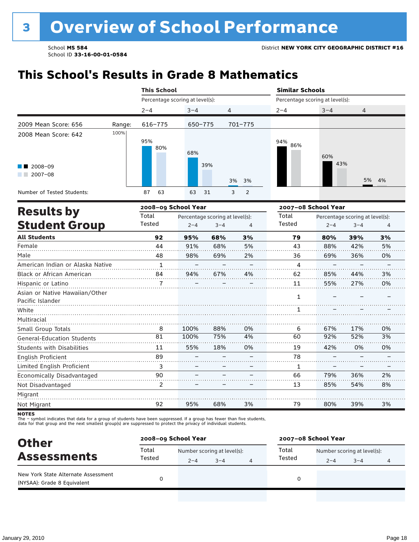# **This School's Results in Grade 8 Mathematics**

|                                                    |        | <b>This School</b>              |         |                                 |                     | <b>Similar Schools</b>          |         |                                 |    |  |  |
|----------------------------------------------------|--------|---------------------------------|---------|---------------------------------|---------------------|---------------------------------|---------|---------------------------------|----|--|--|
|                                                    |        | Percentage scoring at level(s): |         |                                 |                     | Percentage scoring at level(s): |         |                                 |    |  |  |
|                                                    |        | $2 - 4$                         | $3 - 4$ | 4                               |                     | $2 - 4$                         | $3 - 4$ | 4                               |    |  |  |
| 2009 Mean Score: 656                               | Range: | 616-775                         | 650-775 |                                 | $701 - 775$         |                                 |         |                                 |    |  |  |
| 2008 Mean Score: 642                               | 100%   | 95%<br>80%                      | 68%     |                                 |                     | 94%<br>86%                      | 60%     |                                 |    |  |  |
| $2008 - 09$<br>ш<br>$2007 - 08$                    |        |                                 |         | 39%                             | 3%<br>3%            |                                 | 43%     | 5%                              | 4% |  |  |
| Number of Tested Students:                         |        | 87<br>63                        | 63      | 31                              | $\overline{2}$<br>3 |                                 |         |                                 |    |  |  |
| <b>Results by</b>                                  |        | 2008-09 School Year             |         |                                 |                     | 2007-08 School Year             |         |                                 |    |  |  |
|                                                    |        | Total                           |         | Percentage scoring at level(s): |                     | Total                           |         | Percentage scoring at level(s): |    |  |  |
| <b>Student Group</b>                               |        | Tested                          | $2 - 4$ | $3 - 4$                         | $\overline{4}$      | Tested                          | $2 - 4$ | $3 - 4$                         | 4  |  |  |
| <b>All Students</b>                                |        | 92                              | 95%     | 68%                             | 3%                  | 79                              | 80%     | 39%                             | 3% |  |  |
| Female                                             |        | 44                              | 91%     | 68%                             | 5%                  | 43                              | 88%     | 42%                             | 5% |  |  |
| Male                                               |        | 48                              | 98%     | 69%                             | 2%                  | 36                              | 69%     | 36%                             | 0% |  |  |
| American Indian or Alaska Native                   |        | $\mathbf{1}$                    |         |                                 |                     | 4                               |         |                                 |    |  |  |
| <b>Black or African American</b>                   |        | 84                              | 94%     | 67%                             | 4%                  | 62                              | 85%     | 44%                             | 3% |  |  |
| Hispanic or Latino                                 |        | $\overline{7}$                  |         |                                 |                     | 11                              | 55%     | 27%                             | 0% |  |  |
| Asian or Native Hawaiian/Other<br>Pacific Islander |        |                                 |         |                                 |                     | 1                               |         |                                 |    |  |  |
| White<br>Multiracial                               |        |                                 |         |                                 |                     | 1                               |         |                                 |    |  |  |
| Small Group Totals                                 |        | 8                               | 100%    | 88%                             | 0%                  | 6                               | 67%     | 17%                             | 0% |  |  |
| <b>General-Education Students</b>                  |        | 81                              | 100%    | 75%                             | 4%                  | 60                              | 92%     | 52%                             | 3% |  |  |
| <b>Students with Disabilities</b>                  |        | 11                              | 55%     | 18%                             | 0%                  | 19                              | 42%     | 0%                              | 0% |  |  |
| English Proficient                                 |        | 89                              |         |                                 |                     | 78                              |         |                                 |    |  |  |
| Limited English Proficient                         |        | 3                               |         |                                 |                     | 1                               |         |                                 |    |  |  |
| Economically Disadvantaged                         |        | 90                              |         |                                 |                     | 66                              | 79%     | 36%                             | 2% |  |  |
| Not Disadvantaged                                  |        | $\overline{2}$                  |         |                                 |                     | 13                              | 85%     | 54%                             | 8% |  |  |
| Migrant                                            |        |                                 |         |                                 |                     |                                 |         |                                 |    |  |  |
| Not Migrant                                        |        | 92                              | 95%     | 68%                             | 3%                  | 79                              | 80%     | 39%                             | 3% |  |  |

**NOTES** 

The – symbol indicates that data for a group of students have been suppressed. If a group has fewer than five students,<br>data for that group and the next smallest group(s) are suppressed to protect the privacy of individual

| <b>Other</b>                                                       |                 | 2008-09 School Year         |         |  | 2007-08 School Year |                             |         |   |  |
|--------------------------------------------------------------------|-----------------|-----------------------------|---------|--|---------------------|-----------------------------|---------|---|--|
| <b>Assessments</b>                                                 | Total<br>Tested | Number scoring at level(s): |         |  | Total               | Number scoring at level(s): |         |   |  |
|                                                                    |                 | $2 - 4$                     | $3 - 4$ |  | Tested              | $2 - 4$                     | $3 - 4$ | 4 |  |
| New York State Alternate Assessment<br>(NYSAA): Grade 8 Equivalent |                 |                             |         |  |                     |                             |         |   |  |